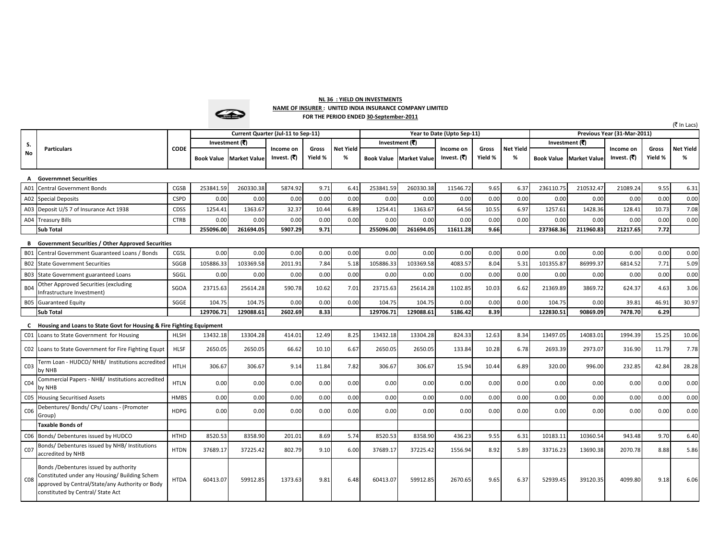## Œ

## NL 36 : YIELD ON INVESTMENTS NAME OF INSURER : UNITED INDIA INSURANCE COMPANY LIMITEDFOR THE PERIOD ENDED 30-September-2011

|                 | Current Quarter (Jul-11 to Sep-11)<br>Year to Date (Upto Sep-11)                                                                                                              |             |                |                                |             |              |           |                |                                |             |         |                  |                             |                                | (₹ In Lacs) |         |                  |  |
|-----------------|-------------------------------------------------------------------------------------------------------------------------------------------------------------------------------|-------------|----------------|--------------------------------|-------------|--------------|-----------|----------------|--------------------------------|-------------|---------|------------------|-----------------------------|--------------------------------|-------------|---------|------------------|--|
|                 | <b>Particulars</b>                                                                                                                                                            |             |                |                                |             |              |           |                |                                |             |         |                  | Previous Year (31-Mar-2011) |                                |             |         |                  |  |
| S.              |                                                                                                                                                                               | <b>CODE</b> | Investment (₹) |                                | Income on   | <b>Gross</b> | Net Yield | Investment (₹) |                                | Income on   | Gross   | <b>Net Yield</b> | Investment $(3)$            |                                | Income on   | Gross   | <b>Net Yield</b> |  |
| <b>No</b>       |                                                                                                                                                                               |             |                | <b>Book Value Market Value</b> | ।nvest. (₹) | Yield %      | %         |                | <b>Book Value Market Value</b> | Invest. (₹) | Yield % | %                |                             | <b>Book Value Market Value</b> | ।nvest. (₹) | Yield % | %                |  |
| A               | <b>Governmnet Securities</b>                                                                                                                                                  |             |                |                                |             |              |           |                |                                |             |         |                  |                             |                                |             |         |                  |  |
| A01             | <b>Central Government Bonds</b>                                                                                                                                               | CGSB        | 253841.59      | 260330.38                      | 5874.92     | 9.71         | 6.41      | 253841.59      | 260330.38                      | 11546.72    | 9.65    | 6.37             | 236110.75                   | 210532.47                      | 21089.24    | 9.55    | 6.31             |  |
| A02             | <b>Special Deposits</b>                                                                                                                                                       | <b>CSPD</b> | 0.00           | 0.00                           | 0.00        | 0.00         | 0.00      | 0.00           | 0.00                           | 0.00        | 0.00    | 0.00             | 0.00                        | 0.00                           | 0.00        | 0.00    | 0.00             |  |
|                 | A03 Deposit U/S 7 of Insurance Act 1938                                                                                                                                       | CDSS        | 1254.43        | 1363.67                        | 32.37       | 10.44        | 6.89      | 1254.41        | 1363.67                        | 64.56       | 10.55   | 6.97             | 1257.61                     | 1428.36                        | 128.41      | 10.73   | 7.08             |  |
|                 | A04 Treasury Bills                                                                                                                                                            | <b>CTRB</b> | 0.00           | 0.00                           | 0.00        | 0.00         | 0.00      | 0.00           | 0.00                           | 0.00        | 0.00    | 0.00             | 0.00                        | 0.00                           | 0.00        | 0.00    | 0.00             |  |
|                 | <b>Sub Total</b>                                                                                                                                                              |             | 255096.00      | 261694.05                      | 5907.29     | 9.71         |           | 255096.00      | 261694.05                      | 11611.28    | 9.66    |                  | 237368.36                   | 211960.83                      | 21217.65    | 7.72    |                  |  |
|                 | <b>B</b> Government Securities / Other Approved Securities                                                                                                                    |             |                |                                |             |              |           |                |                                |             |         |                  |                             |                                |             |         |                  |  |
| <b>B01</b>      | Central Government Guaranteed Loans / Bonds                                                                                                                                   | CGSL        | 0.00           | 0.00                           | 0.00        | 0.00         | 0.00      | 0.00           | 0.00                           | 0.00        | 0.00    | 0.00             | 0.00                        | 0.00                           | 0.00        | 0.00    | 0.00             |  |
| <b>BO2</b>      | <b>State Government Securities</b>                                                                                                                                            | SGGB        | 105886.3       | 103369.58                      | 2011.91     | 7.84         | 5.18      | 105886.33      | 103369.58                      | 4083.57     | 8.04    | 5.31             | 101355.87                   | 86999.37                       | 6814.52     | 7.71    | 5.09             |  |
| <b>B03</b>      | State Government guaranteed Loans                                                                                                                                             | SGGL        | 0.00           | 0.00                           | 0.00        | 0.00         | 0.00      | 0.00           | 0.00                           | 0.00        | 0.00    | 0.00             | 0.00                        | 0.00                           | 0.00        | 0.00    | 0.00             |  |
| <b>B04</b>      | Other Approved Securities (excluding<br>Infrastructure Investment)                                                                                                            | SGOA        | 23715.63       | 25614.28                       | 590.78      | 10.62        | 7.01      | 23715.63       | 25614.28                       | 1102.85     | 10.03   | 6.62             | 21369.89                    | 3869.72                        | 624.37      | 4.63    | 3.06             |  |
|                 | <b>B05</b> Guaranteed Equity                                                                                                                                                  | SGGE        | 104.75         | 104.75                         | 0.00        | 0.00         | 0.00      | 104.75         | 104.75                         | 0.00        | 0.00    | 0.00             | 104.75                      | 0.00                           | 39.81       | 46.91   | 30.97            |  |
|                 | <b>Sub Total</b>                                                                                                                                                              |             | 129706.71      | 129088.61                      | 2602.69     | 8.33         |           | 129706.71      | 129088.61                      | 5186.42     | 8.39    |                  | 122830.51                   | 90869.09                       | 7478.70     | 6.29    |                  |  |
| C               | Housing and Loans to State Govt for Housing & Fire Fighting Equipment                                                                                                         |             |                |                                |             |              |           |                |                                |             |         |                  |                             |                                |             |         |                  |  |
| CO1             | Loans to State Government for Housing                                                                                                                                         | <b>HLSH</b> | 13432.18       | 13304.28                       | 414.01      | 12.49        | 8.25      | 13432.18       | 13304.28                       | 824.33      | 12.63   | 8.34             | 13497.05                    | 14083.01                       | 1994.39     | 15.25   | 10.06            |  |
| CO <sub>2</sub> | Loans to State Government for Fire Fighting Equpt                                                                                                                             | <b>HLSF</b> | 2650.05        | 2650.05                        | 66.62       | 10.10        | 6.67      | 2650.05        | 2650.05                        | 133.84      | 10.28   | 6.78             | 2693.39                     | 2973.07                        | 316.90      | 11.79   | 7.78             |  |
| CO <sub>3</sub> | Term Loan - HUDCO/ NHB/ Institutions accredited<br>by NHB                                                                                                                     | <b>HTLH</b> | 306.67         | 306.67                         | 9.14        | 11.84        | 7.82      | 306.67         | 306.67                         | 15.94       | 10.44   | 6.89             | 320.00                      | 996.00                         | 232.85      | 42.84   | 28.28            |  |
| CO <sub>4</sub> | Commercial Papers - NHB/ Institutions accredited<br>by NHB                                                                                                                    | <b>HTLN</b> | 0.00           | 0.00                           | 0.00        | 0.00         | 0.00      | 0.00           | 0.00                           | 0.00        | 0.00    | 0.00             | 0.00                        | 0.00                           | 0.00        | 0.00    | 0.00             |  |
| CO <sub>5</sub> | <b>Housing Securitised Assets</b>                                                                                                                                             | <b>HMBS</b> | 0.00           | 0.00                           | 0.00        | 0.00         | 0.00      | 0.00           | 0.00                           | 0.00        | 0.00    | 0.00             | 0.00                        | 0.00                           | 0.00        | 0.00    | 0.00             |  |
| CO6             | Debentures/ Bonds/ CPs/ Loans - (Promoter<br>Group)                                                                                                                           | <b>HDPG</b> | 0.00           | 0.00                           | 0.00        | 0.00         | 0.00      | 0.00           | 0.00                           | 0.00        | 0.00    | 0.00             | 0.00                        | 0.00                           | 0.00        | 0.00    | 0.00             |  |
|                 | Taxable Bonds of                                                                                                                                                              |             |                |                                |             |              |           |                |                                |             |         |                  |                             |                                |             |         |                  |  |
| CO6             | Bonds/Debentures issued by HUDCO                                                                                                                                              | <b>HTHD</b> | 8520.53        | 8358.90                        | 201.01      | 8.69         | 5.74      | 8520.53        | 8358.90                        | 436.23      | 9.55    | 6.31             | 10183.11                    | 10360.54                       | 943.48      | 9.70    | 6.40             |  |
| CO <sub>7</sub> | Bonds/ Debentures issued by NHB/ Institutions<br>accredited by NHB                                                                                                            | <b>HTDN</b> | 37689.17       | 37225.42                       | 802.79      | 9.10         | 6.00      | 37689.17       | 37225.42                       | 1556.94     | 8.92    | 5.89             | 33716.23                    | 13690.38                       | 2070.78     | 8.88    | 5.86             |  |
| CO8             | Bonds /Debentures issued by authority<br>Constituted under any Housing/Building Schem<br>approved by Central/State/any Authority or Body<br>constituted by Central/ State Act | <b>HTDA</b> | 60413.07       | 59912.85                       | 1373.63     | 9.81         | 6.48      | 60413.07       | 59912.85                       | 2670.65     | 9.65    | 6.37             | 52939.45                    | 39120.35                       | 4099.80     | 9.18    | 6.06             |  |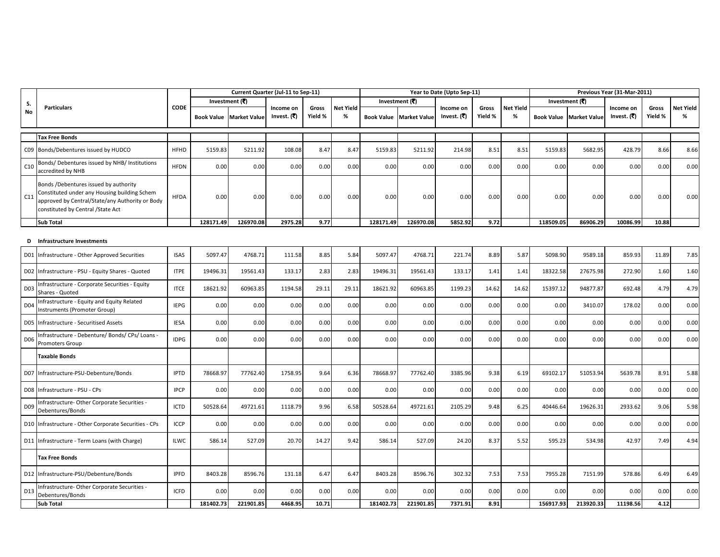| S.<br>No        | <b>Particulars</b>                                                                                                                                                             | <b>CODE</b> | Current Quarter (Jul-11 to Sep-11) |                                |                          |                  |                       |           |                                | Year to Date (Upto Sep-11) |                  |                          |           |                                    | Previous Year (31-Mar-2011) |                  |                       |
|-----------------|--------------------------------------------------------------------------------------------------------------------------------------------------------------------------------|-------------|------------------------------------|--------------------------------|--------------------------|------------------|-----------------------|-----------|--------------------------------|----------------------------|------------------|--------------------------|-----------|------------------------------------|-----------------------------|------------------|-----------------------|
|                 |                                                                                                                                                                                |             |                                    | Investment (₹)                 |                          |                  | <b>Net Yield</b><br>% |           | Investment (そ)                 |                            |                  |                          |           | Investment (そ)                     |                             |                  |                       |
|                 |                                                                                                                                                                                |             |                                    | <b>Book Value Market Value</b> | Income on<br>Invest. (₹) | Gross<br>Yield % |                       |           | <b>Book Value Market Value</b> | Income on<br>Invest. (₹)   | Gross<br>Yield % | <b>Net Yield</b><br>$\%$ |           | <b>Book Value   Market Value  </b> | Income on<br>Invest. (そ)    | Gross<br>Yield % | <b>Net Yield</b><br>% |
|                 | <b>Tax Free Bonds</b>                                                                                                                                                          |             |                                    |                                |                          |                  |                       |           |                                |                            |                  |                          |           |                                    |                             |                  |                       |
| CO <sub>9</sub> | Bonds/Debentures issued by HUDCO                                                                                                                                               | <b>HFHD</b> | 5159.83                            | 5211.92                        | 108.08                   | 8.47             | 8.47                  | 5159.83   | 5211.92                        | 214.98                     | 8.51             | 8.51                     | 5159.83   | 5682.95                            | 428.79                      | 8.66             | 8.66                  |
| C10             | Bonds/ Debentures issued by NHB/ Institutions<br>accredited by NHB                                                                                                             | <b>HFDN</b> | 0.00                               | 0.00                           | 0.00                     | 0.00             | 0.00                  | 0.00      | 0.00                           | 0.00                       | 0.00             | 0.00                     | 0.00      | 0.00                               | 0.00                        | 0.00             | 0.00                  |
| C11             | Bonds /Debentures issued by authority<br>Constituted under any Housing building Schem<br>approved by Central/State/any Authority or Body<br>constituted by Central / State Act | <b>HFDA</b> | 0.00                               | 0.00                           | 0.00                     | 0.00             | 0.00                  | 0.00      | 0.00                           | 0.00                       | 0.00             | 0.00                     | 0.00      | 0.00                               | 0.00                        | 0.00             | 0.00                  |
|                 | <b>Sub Total</b>                                                                                                                                                               |             | 128171.49                          | 126970.08                      | 2975.28                  | 9.77             |                       | 128171.49 | 126970.08                      | 5852.92                    | 9.72             |                          | 118509.05 | 86906.29                           | 10086.99                    | 10.88            |                       |
| D               | Infrastructure Investments                                                                                                                                                     |             |                                    |                                |                          |                  |                       |           |                                |                            |                  |                          |           |                                    |                             |                  |                       |
|                 | D01 Infrastructure - Other Approved Securities                                                                                                                                 | <b>ISAS</b> | 5097.47                            | 4768.71                        | 111.58                   | 8.85             | 5.84                  | 5097.47   | 4768.71                        | 221.74                     | 8.89             | 5.87                     | 5098.90   | 9589.18                            | 859.93                      | 11.89            | 7.85                  |
|                 | D02 Infrastructure - PSU - Equity Shares - Quoted                                                                                                                              | <b>ITPE</b> | 19496.31                           | 19561.43                       | 133.17                   | 2.83             | 2.83                  | 19496.31  | 19561.43                       | 133.17                     | 1.41             | 1.41                     | 18322.58  | 27675.98                           | 272.90                      | 1.60             | 1.60                  |
| D <sub>03</sub> | Infrastructure - Corporate Securities - Equity<br>Shares - Quoted                                                                                                              | <b>ITCE</b> | 18621.92                           | 60963.85                       | 1194.58                  | 29.11            | 29.11                 | 18621.92  | 60963.85                       | 1199.23                    | 14.62            | 14.62                    | 15397.12  | 94877.87                           | 692.48                      | 4.79             | 4.79                  |
| D <sub>04</sub> | Infrastructure - Equity and Equity Related<br>Instruments (Promoter Group)                                                                                                     | <b>IEPG</b> | 0.00                               | 0.00                           | 0.00                     | 0.00             | 0.00                  | 0.00      | 0.00                           | 0.00                       | 0.00             | 0.00                     | 0.00      | 3410.07                            | 178.02                      | 0.00             | 0.00                  |
|                 | D05 Infrastructure - Securitised Assets                                                                                                                                        | <b>IESA</b> | 0.00                               | 0.00                           | 0.00                     | 0.00             | 0.00                  | 0.00      | 0.00                           | 0.00                       | 0.00             | 0.00                     | 0.00      | 0.00                               | 0.00                        | 0.00             | 0.00                  |
| D <sub>06</sub> | nfrastructure - Debenture/ Bonds/ CPs/ Loans -<br>Promoters Group                                                                                                              | <b>IDPG</b> | 0.00                               | 0.00                           | 0.00                     | 0.00             | 0.00                  | 0.00      | 0.00                           | 0.00                       | 0.00             | 0.00                     | 0.00      | 0.00                               | 0.00                        | 0.00             | 0.00                  |
|                 | <b>Taxable Bonds</b>                                                                                                                                                           |             |                                    |                                |                          |                  |                       |           |                                |                            |                  |                          |           |                                    |                             |                  |                       |
|                 | D07 Infrastructure-PSU-Debenture/Bonds                                                                                                                                         | <b>IPTD</b> | 78668.97                           | 77762.40                       | 1758.95                  | 9.64             | 6.36                  | 78668.97  | 77762.40                       | 3385.96                    | 9.38             | 6.19                     | 69102.17  | 51053.94                           | 5639.78                     | 8.91             | 5.88                  |
|                 | D08 Infrastructure - PSU - CPs                                                                                                                                                 | <b>IPCP</b> | 0.00                               | 0.00                           | 0.00                     | 0.00             | 0.00                  | 0.00      | 0.00                           | 0.00                       | 0.00             | 0.00                     | 0.00      | 0.00                               | 0.00                        | 0.00             | 0.00                  |
| D09             | Infrastructure-Other Corporate Securities -<br>Debentures/Bonds                                                                                                                | <b>ICTD</b> | 50528.64                           | 49721.61                       | 1118.79                  | 9.96             | 6.58                  | 50528.64  | 49721.61                       | 2105.29                    | 9.48             | 6.25                     | 40446.64  | 19626.31                           | 2933.62                     | 9.06             | 5.98                  |
|                 | D10 Infrastructure - Other Corporate Securities - CPs                                                                                                                          | ICCP        | 0.00                               | 0.00                           | 0.00                     | 0.00             | 0.00                  | 0.00      | 0.00                           | 0.00                       | 0.00             | 0.00                     | 0.00      | 0.00                               | 0.00                        | 0.00             | 0.00                  |
|                 | D11 Infrastructure - Term Loans (with Charge)                                                                                                                                  | <b>ILWC</b> | 586.14                             | 527.09                         | 20.70                    | 14.27            | 9.42                  | 586.14    | 527.09                         | 24.20                      | 8.37             | 5.52                     | 595.23    | 534.98                             | 42.97                       | 7.49             | 4.94                  |
|                 | <b>Tax Free Bonds</b>                                                                                                                                                          |             |                                    |                                |                          |                  |                       |           |                                |                            |                  |                          |           |                                    |                             |                  |                       |
|                 | D12 Infrastructure-PSU/Debenture/Bonds                                                                                                                                         | <b>IPFD</b> | 8403.28                            | 8596.76                        | 131.18                   | 6.47             | 6.47                  | 8403.28   | 8596.76                        | 302.32                     | 7.53             | 7.53                     | 7955.28   | 7151.99                            | 578.86                      | 6.49             | 6.49                  |
| D <sub>13</sub> | Infrastructure-Other Corporate Securities -<br>Debentures/Bonds                                                                                                                | <b>ICFD</b> | 0.00                               | 0.00                           | 0.00                     | 0.00             | 0.00                  | 0.00      | 0.00                           | 0.00                       | 0.00             | 0.00                     | 0.00      | 0.00                               | 0.00                        | 0.00             | 0.00                  |
|                 | <b>Sub Total</b>                                                                                                                                                               |             | 181402.73                          | 221901.85                      | 4468.95                  | 10.71            |                       | 181402.73 | 221901.85                      | 7371.91                    | 8.91             |                          | 156917.93 | 213920.33                          | 11198.56                    | 4.12             |                       |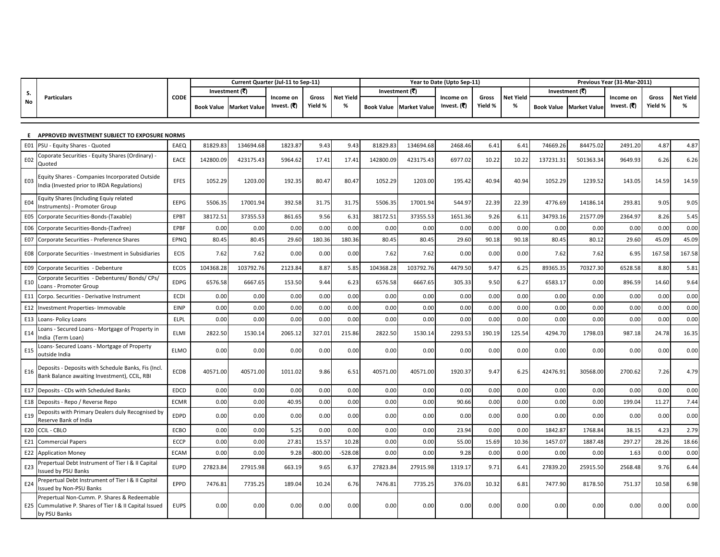|            |                                                                                                                        |             | Current Quarter (Jul-11 to Sep-11) |                                |             |           |                  |                |                                | Year to Date (Upto Sep-11) |         |           | Previous Year (31-Mar-2011) |                                  |             |         |                  |  |
|------------|------------------------------------------------------------------------------------------------------------------------|-------------|------------------------------------|--------------------------------|-------------|-----------|------------------|----------------|--------------------------------|----------------------------|---------|-----------|-----------------------------|----------------------------------|-------------|---------|------------------|--|
| S.         | <b>Particulars</b>                                                                                                     |             |                                    | Investment (₹)                 | Income on   | Gross     | <b>Net Yield</b> | Investment (₹) |                                | Income on                  | Gross   | Net Yield |                             | Investment (そ)                   | Income on   | Gross   | <b>Net Yield</b> |  |
| <b>No</b>  |                                                                                                                        | CODE        |                                    | <b>Book Value Market Value</b> | Invest. (₹) | Yield %   | %                |                | <b>Book Value Market Value</b> | Invest. (₹)                | Yield % | %         |                             | <b>Book Value   Market Value</b> | Invest. (₹) | Yield % | %                |  |
|            |                                                                                                                        |             |                                    |                                |             |           |                  |                |                                |                            |         |           |                             |                                  |             |         |                  |  |
| E.         | APPROVED INVESTMENT SUBJECT TO EXPOSURE NORMS                                                                          |             |                                    |                                |             |           |                  |                |                                |                            |         |           |                             |                                  |             |         |                  |  |
| E01        | PSU - Equity Shares - Quoted                                                                                           | EAEQ        | 81829.83                           | 134694.68                      | 1823.87     | 9.43      | 9.43             | 81829.83       | 134694.68                      | 2468.46                    | 6.41    | 6.41      | 74669.26                    | 84475.02                         | 2491.20     | 4.87    | 4.87             |  |
| E02        | Coporate Securities - Equity Shares (Ordinary) -<br>Quoted                                                             | EACE        | 142800.09                          | 423175.43                      | 5964.62     | 17.41     | 17.41            | 142800.09      | 423175.43                      | 6977.02                    | 10.22   | 10.22     | 137231.31                   | 501363.34                        | 9649.93     | 6.26    | 6.26             |  |
| E03        | Equity Shares - Companies Incorporated Outside<br>India (Invested prior to IRDA Regulations)                           | <b>EFES</b> | 1052.29                            | 1203.00                        | 192.35      | 80.47     | 80.47            | 1052.29        | 1203.00                        | 195.42                     | 40.94   | 40.94     | 1052.29                     | 1239.52                          | 143.05      | 14.59   | 14.59            |  |
| <b>E04</b> | Equity Shares (Including Equiy related<br>Instruments) - Promoter Group                                                | <b>EEPG</b> | 5506.35                            | 17001.94                       | 392.58      | 31.75     | 31.75            | 5506.35        | 17001.94                       | 544.97                     | 22.39   | 22.39     | 4776.69                     | 14186.14                         | 293.81      | 9.05    | 9.05             |  |
| <b>E05</b> | Corporate Securities-Bonds-(Taxable)                                                                                   | EPBT        | 38172.51                           | 37355.53                       | 861.65      | 9.56      | 6.31             | 38172.51       | 37355.53                       | 1651.36                    | 9.26    | 6.11      | 34793.16                    | 21577.09                         | 2364.97     | 8.26    | 5.45             |  |
| E06        | Corporate Securities-Bonds-(Taxfree)                                                                                   | EPBF        | 0.00                               | 0.00                           | 0.00        | 0.00      | 0.00             | 0.00           | 0.00                           | 0.00                       | 0.00    | 0.00      | 0.00                        | 0.00                             | 0.00        | 0.00    | 0.00             |  |
| E07        | Corporate Securities - Preference Shares                                                                               | EPNO        | 80.45                              | 80.45                          | 29.60       | 180.36    | 180.36           | 80.45          | 80.45                          | 29.60                      | 90.18   | 90.18     | 80.45                       | 80.12                            | 29.60       | 45.09   | 45.09            |  |
| E08        | Corporate Securities - Investment in Subsidiaries                                                                      | <b>ECIS</b> | 7.62                               | 7.62                           | 0.00        | 0.00      | 0.00             | 7.62           | 7.62                           | 0.00                       | 0.00    | 0.00      | 7.62                        | 7.62                             | 6.95        | 167.58  | 167.58           |  |
| E09        | Corporate Securities - Debenture                                                                                       | ECOS        | 104368.28                          | 103792.76                      | 2123.84     | 8.87      | 5.85             | 104368.28      | 103792.76                      | 4479.50                    | 9.47    | 6.25      | 89365.35                    | 70327.30                         | 6528.58     | 8.80    | 5.81             |  |
| E10        | Corporate Securities - Debentures/ Bonds/ CPs/<br>Loans - Promoter Group                                               | <b>EDPG</b> | 6576.58                            | 6667.65                        | 153.50      | 9.44      | 6.23             | 6576.58        | 6667.65                        | 305.33                     | 9.50    | 6.27      | 6583.17                     | 0.00                             | 896.59      | 14.60   | 9.64             |  |
| E11        | Corpo. Securities - Derivative Instrument                                                                              | ECDI        | 0.00                               | 0.00                           | 0.00        | 0.00      | 0.00             | 0.00           | 0.00                           | 0.00                       | 0.00    | 0.00      | 0.00                        | 0.00                             | 0.00        | 0.00    | 0.00             |  |
|            | E12 Investment Properties- Immovable                                                                                   | <b>EINP</b> | 0.00                               | 0.00                           | 0.00        | 0.00      | 0.00             | 0.00           | 0.00                           | 0.00                       | 0.00    | 0.00      | 0.00                        | 0.00                             | 0.00        | 0.00    | 0.00             |  |
| E13        | Loans- Policy Loans                                                                                                    | ELPL        | 0.00                               | 0.00                           | 0.00        | 0.00      | 0.00             | 0.00           | 0.00                           | 0.00                       | 0.00    | 0.00      | 0.00                        | 0.00                             | 0.00        | 0.00    | 0.00             |  |
| E14        | Loans - Secured Loans - Mortgage of Property in<br>India (Term Loan)                                                   | ELMI        | 2822.50                            | 1530.14                        | 2065.12     | 327.01    | 215.86           | 2822.50        | 1530.14                        | 2293.53                    | 190.19  | 125.54    | 4294.70                     | 1798.03                          | 987.18      | 24.78   | 16.35            |  |
| E15        | Loans- Secured Loans - Mortgage of Property<br>outside India                                                           | <b>ELMO</b> | 0.00                               | 0.00                           | 0.00        | 0.00      | 0.00             | 0.00           | 0.00                           | 0.00                       | 0.00    | 0.00      | 0.00                        | 0.00                             | 0.00        | 0.00    | 0.00             |  |
| E16        | Deposits - Deposits with Schedule Banks, Fis (Incl.<br>Bank Balance awaiting Investment), CCIL, RBI                    | ECDB        | 40571.00                           | 40571.00                       | 1011.02     | 9.86      | 6.51             | 40571.00       | 40571.00                       | 1920.37                    | 9.47    | 6.25      | 42476.91                    | 30568.00                         | 2700.62     | 7.26    | 4.79             |  |
| E17        | Deposits - CDs with Scheduled Banks                                                                                    | <b>EDCD</b> | 0.00                               | 0.00                           | 0.00        | 0.00      | 0.00             | 0.00           | 0.00                           | 0.00                       | 0.00    | 0.00      | 0.00                        | 0.00                             | 0.00        | 0.00    | 0.00             |  |
|            | E18 Deposits - Repo / Reverse Repo                                                                                     | <b>ECMR</b> | 0.00                               | 0.00                           | 40.95       | 0.00      | 0.00             | 0.00           | 0.00                           | 90.66                      | 0.00    | 0.00      | 0.00                        | 0.00                             | 199.04      | 11.27   | 7.44             |  |
| E19        | Deposits with Primary Dealers duly Recognised by<br>Reserve Bank of India                                              | <b>EDPD</b> | 0.00                               | 0.00                           | 0.00        | 0.00      | 0.00             | 0.00           | 0.00                           | 0.00                       | 0.00    | 0.00      | 0.00                        | 0.00                             | 0.00        | 0.00    | 0.00             |  |
| E20        | <b>CCIL - CBLO</b>                                                                                                     | ECBO        | 0.00                               | 0.00                           | 5.25        | 0.00      | 0.00             | 0.00           | 0.00                           | 23.94                      | 0.00    | 0.00      | 1842.87                     | 1768.84                          | 38.15       | 4.23    | 2.79             |  |
|            | <b>E21</b> Commercial Papers                                                                                           | <b>ECCP</b> | 0.00                               | 0.00                           | 27.81       | 15.57     | 10.28            | 0.00           | 0.00                           | 55.00                      | 15.69   | 10.36     | 1457.07                     | 1887.48                          | 297.27      | 28.26   | 18.66            |  |
|            | <b>E22 Application Money</b>                                                                                           | <b>ECAM</b> | 0.00                               | 0.00                           | 9.28        | $-800.00$ | $-528.08$        | 0.00           | 0.00                           | 9.28                       | 0.00    | 0.00      | 0.00                        | 0.00                             | 1.63        | 0.00    | 0.00             |  |
| E23        | Prepertual Debt Instrument of Tier I & II Capital<br><b>Issued by PSU Banks</b>                                        | <b>EUPD</b> | 27823.84                           | 27915.98                       | 663.19      | 9.65      | 6.37             | 27823.84       | 27915.98                       | 1319.17                    | 9.71    | 6.41      | 27839.20                    | 25915.50                         | 2568.48     | 9.76    | 6.44             |  |
| E24        | Prepertual Debt Instrument of Tier I & II Capital<br>Issued by Non-PSU Banks                                           | EPPD        | 7476.81                            | 7735.25                        | 189.04      | 10.24     | 6.76             | 7476.81        | 7735.25                        | 376.03                     | 10.32   | 6.81      | 7477.90                     | 8178.50                          | 751.37      | 10.58   | 6.98             |  |
|            | Prepertual Non-Cumm. P. Shares & Redeemable<br>E25 Cummulative P. Shares of Tier I & II Capital Issued<br>by PSU Banks | <b>EUPS</b> | 0.00                               | 0.00                           | 0.00        | 0.00      | 0.00             | 0.00           | 0.00                           | 0.00                       | 0.00    | 0.00      | 0.00                        | 0.00                             | 0.00        | 0.00    | 0.00             |  |